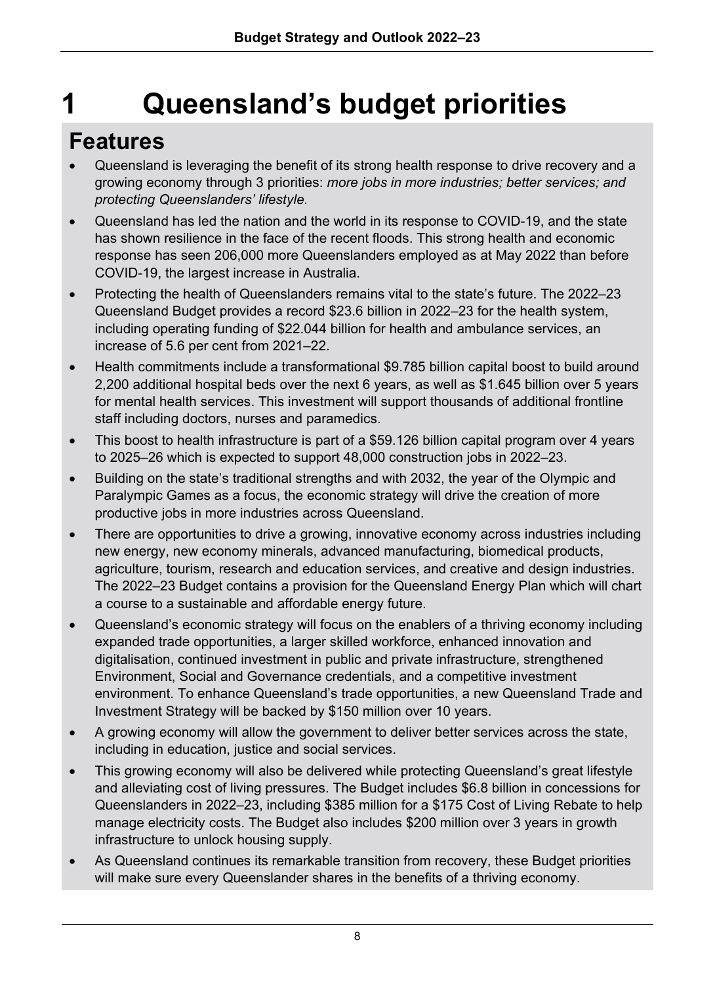# **1 Queensland's budget priorities**

## **Features**

- Queensland is leveraging the benefit of its strong health response to drive recovery and a growing economy through 3 priorities: *more jobs in more industries; better services; and protecting Queenslanders' lifestyle.*
- Queensland has led the nation and the world in its response to COVID-19, and the state has shown resilience in the face of the recent floods. This strong health and economic response has seen 206,000 more Queenslanders employed as at May 2022 than before COVID-19, the largest increase in Australia.
- Protecting the health of Queenslanders remains vital to the state's future. The 2022–23 Queensland Budget provides a record \$23.6 billion in 2022–23 for the health system, including operating funding of \$22.044 billion for health and ambulance services, an increase of 5.6 per cent from 2021–22.
- Health commitments include a transformational \$9.785 billion capital boost to build around 2,200 additional hospital beds over the next 6 years, as well as \$1.645 billion over 5 years for mental health services. This investment will support thousands of additional frontline staff including doctors, nurses and paramedics.
- This boost to health infrastructure is part of a \$59.126 billion capital program over 4 years to 2025–26 which is expected to support 48,000 construction jobs in 2022–23.
- Building on the state's traditional strengths and with 2032, the year of the Olympic and Paralympic Games as a focus, the economic strategy will drive the creation of more productive jobs in more industries across Queensland.
- There are opportunities to drive a growing, innovative economy across industries including new energy, new economy minerals, advanced manufacturing, biomedical products, agriculture, tourism, research and education services, and creative and design industries. The 2022–23 Budget contains a provision for the Queensland Energy Plan which will chart a course to a sustainable and affordable energy future.
- Queensland's economic strategy will focus on the enablers of a thriving economy including expanded trade opportunities, a larger skilled workforce, enhanced innovation and digitalisation, continued investment in public and private infrastructure, strengthened Environment, Social and Governance credentials, and a competitive investment environment. To enhance Queensland's trade opportunities, a new Queensland Trade and Investment Strategy will be backed by \$150 million over 10 years.
- A growing economy will allow the government to deliver better services across the state, including in education, justice and social services.
- This growing economy will also be delivered while protecting Queensland's great lifestyle and alleviating cost of living pressures. The Budget includes \$6.8 billion in concessions for Queenslanders in 2022–23, including \$385 million for a \$175 Cost of Living Rebate to help manage electricity costs. The Budget also includes \$200 million over 3 years in growth infrastructure to unlock housing supply.
- As Queensland continues its remarkable transition from recovery, these Budget priorities will make sure every Queenslander shares in the benefits of a thriving economy.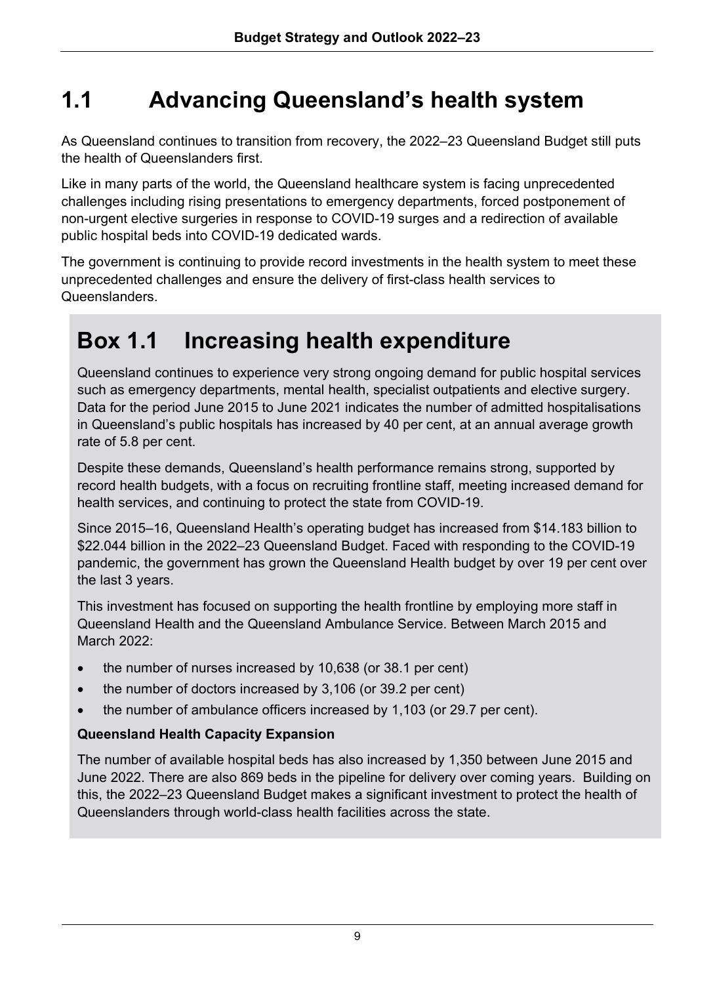# **1.1 Advancing Queensland's health system**

As Queensland continues to transition from recovery, the 2022–23 Queensland Budget still puts the health of Queenslanders first.

Like in many parts of the world, the Queensland healthcare system is facing unprecedented challenges including rising presentations to emergency departments, forced postponement of non-urgent elective surgeries in response to COVID-19 surges and a redirection of available public hospital beds into COVID-19 dedicated wards.

The government is continuing to provide record investments in the health system to meet these unprecedented challenges and ensure the delivery of first-class health services to Queenslanders.

# **Box 1.1 Increasing health expenditure**

Queensland continues to experience very strong ongoing demand for public hospital services such as emergency departments, mental health, specialist outpatients and elective surgery. Data for the period June 2015 to June 2021 indicates the number of admitted hospitalisations in Queensland's public hospitals has increased by 40 per cent, at an annual average growth rate of 5.8 per cent.

Despite these demands, Queensland's health performance remains strong, supported by record health budgets, with a focus on recruiting frontline staff, meeting increased demand for health services, and continuing to protect the state from COVID-19.

Since 2015–16, Queensland Health's operating budget has increased from \$14.183 billion to \$22.044 billion in the 2022–23 Queensland Budget. Faced with responding to the COVID-19 pandemic, the government has grown the Queensland Health budget by over 19 per cent over the last 3 years.

This investment has focused on supporting the health frontline by employing more staff in Queensland Health and the Queensland Ambulance Service. Between March 2015 and March 2022:

- the number of nurses increased by 10,638 (or 38.1 per cent)
- the number of doctors increased by 3,106 (or 39.2 per cent)
- the number of ambulance officers increased by 1,103 (or 29.7 per cent).

#### **Queensland Health Capacity Expansion**

The number of available hospital beds has also increased by 1,350 between June 2015 and June 2022. There are also 869 beds in the pipeline for delivery over coming years. Building on this, the 2022–23 Queensland Budget makes a significant investment to protect the health of Queenslanders through world-class health facilities across the state.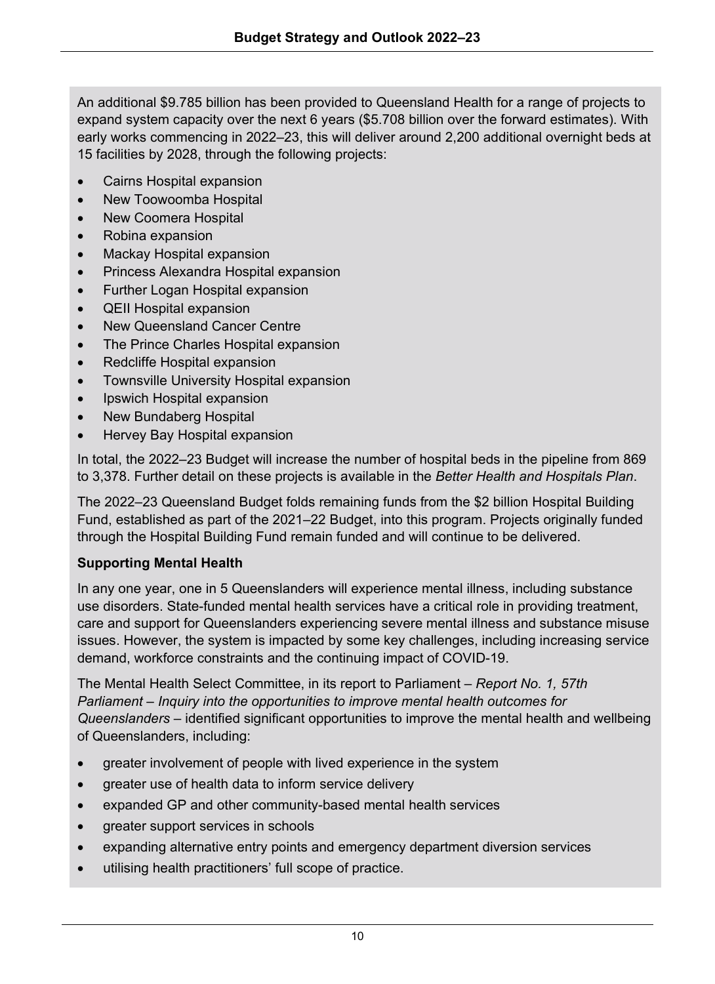An additional \$9.785 billion has been provided to Queensland Health for a range of projects to expand system capacity over the next 6 years (\$5.708 billion over the forward estimates). With early works commencing in 2022–23, this will deliver around 2,200 additional overnight beds at 15 facilities by 2028, through the following projects:

- Cairns Hospital expansion
- New Toowoomba Hospital
- New Coomera Hospital
- Robina expansion
- Mackay Hospital expansion
- Princess Alexandra Hospital expansion
- Further Logan Hospital expansion
- QEII Hospital expansion
- New Queensland Cancer Centre
- The Prince Charles Hospital expansion
- Redcliffe Hospital expansion
- Townsville University Hospital expansion
- Ipswich Hospital expansion
- New Bundaberg Hospital
- Hervey Bay Hospital expansion

In total, the 2022–23 Budget will increase the number of hospital beds in the pipeline from 869 to 3,378. Further detail on these projects is available in the *Better Health and Hospitals Plan*.

The 2022–23 Queensland Budget folds remaining funds from the \$2 billion Hospital Building Fund, established as part of the 2021–22 Budget, into this program. Projects originally funded through the Hospital Building Fund remain funded and will continue to be delivered.

#### **Supporting Mental Health**

In any one year, one in 5 Queenslanders will experience mental illness, including substance use disorders. State-funded mental health services have a critical role in providing treatment, care and support for Queenslanders experiencing severe mental illness and substance misuse issues. However, the system is impacted by some key challenges, including increasing service demand, workforce constraints and the continuing impact of COVID-19.

The Mental Health Select Committee, in its report to Parliament – *Report No. 1, 57th Parliament – Inquiry into the opportunities to improve mental health outcomes for Queenslanders* – identified significant opportunities to improve the mental health and wellbeing of Queenslanders, including:

- greater involvement of people with lived experience in the system
- greater use of health data to inform service delivery
- expanded GP and other community-based mental health services
- greater support services in schools
- expanding alternative entry points and emergency department diversion services
- utilising health practitioners' full scope of practice.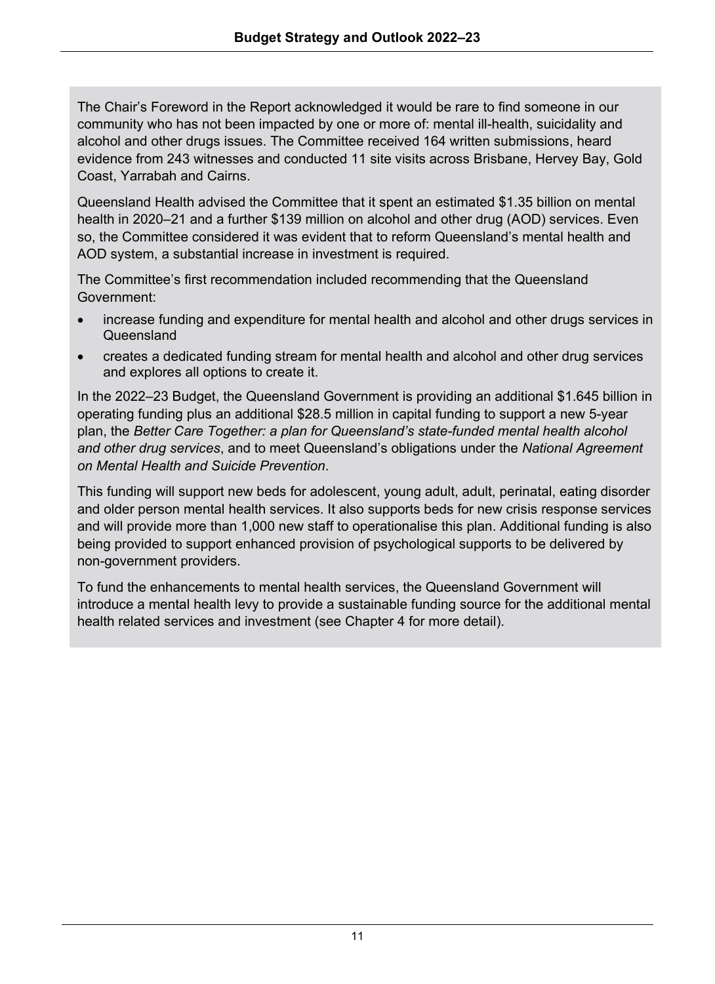The Chair's Foreword in the Report acknowledged it would be rare to find someone in our community who has not been impacted by one or more of: mental ill-health, suicidality and alcohol and other drugs issues. The Committee received 164 written submissions, heard evidence from 243 witnesses and conducted 11 site visits across Brisbane, Hervey Bay, Gold Coast, Yarrabah and Cairns.

Queensland Health advised the Committee that it spent an estimated \$1.35 billion on mental health in 2020–21 and a further \$139 million on alcohol and other drug (AOD) services. Even so, the Committee considered it was evident that to reform Queensland's mental health and AOD system, a substantial increase in investment is required.

The Committee's first recommendation included recommending that the Queensland Government:

- increase funding and expenditure for mental health and alcohol and other drugs services in Queensland
- creates a dedicated funding stream for mental health and alcohol and other drug services and explores all options to create it.

In the 2022–23 Budget, the Queensland Government is providing an additional \$1.645 billion in operating funding plus an additional \$28.5 million in capital funding to support a new 5-year plan, the *Better Care Together: a plan for Queensland's state-funded mental health alcohol and other drug services*, and to meet Queensland's obligations under the *National Agreement on Mental Health and Suicide Prevention*.

This funding will support new beds for adolescent, young adult, adult, perinatal, eating disorder and older person mental health services. It also supports beds for new crisis response services and will provide more than 1,000 new staff to operationalise this plan. Additional funding is also being provided to support enhanced provision of psychological supports to be delivered by non-government providers.

To fund the enhancements to mental health services, the Queensland Government will introduce a mental health levy to provide a sustainable funding source for the additional mental health related services and investment (see Chapter 4 for more detail).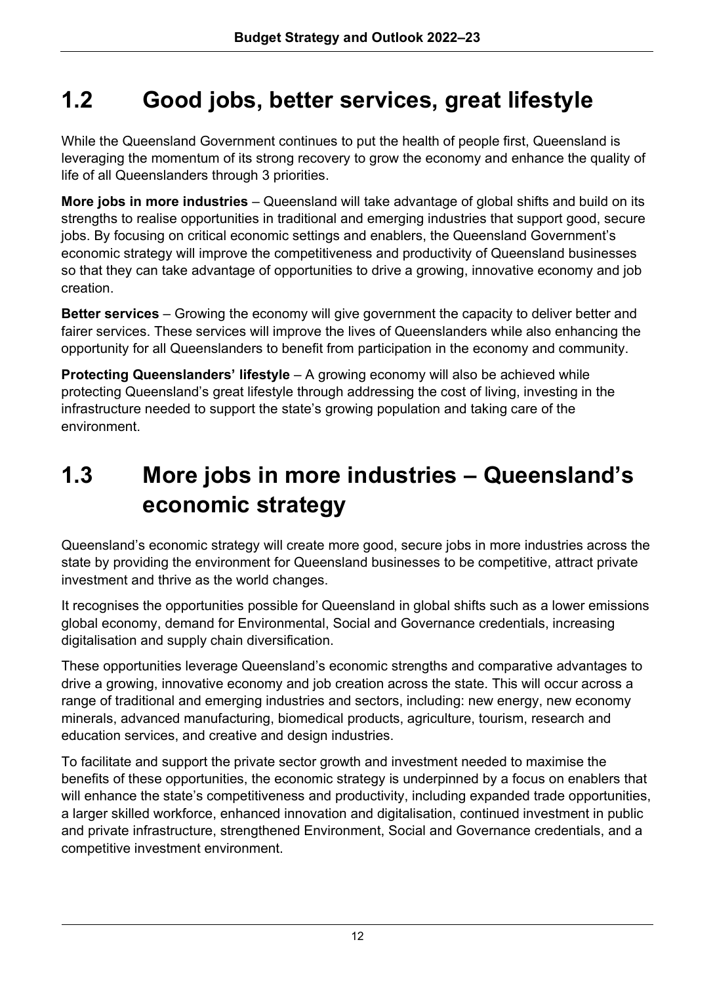# **1.2 Good jobs, better services, great lifestyle**

While the Queensland Government continues to put the health of people first, Queensland is leveraging the momentum of its strong recovery to grow the economy and enhance the quality of life of all Queenslanders through 3 priorities.

**More jobs in more industries** – Queensland will take advantage of global shifts and build on its strengths to realise opportunities in traditional and emerging industries that support good, secure jobs. By focusing on critical economic settings and enablers, the Queensland Government's economic strategy will improve the competitiveness and productivity of Queensland businesses so that they can take advantage of opportunities to drive a growing, innovative economy and job creation.

**Better services** – Growing the economy will give government the capacity to deliver better and fairer services. These services will improve the lives of Queenslanders while also enhancing the opportunity for all Queenslanders to benefit from participation in the economy and community.

**Protecting Queenslanders' lifestyle** – A growing economy will also be achieved while protecting Queensland's great lifestyle through addressing the cost of living, investing in the infrastructure needed to support the state's growing population and taking care of the environment.

# **1.3 More jobs in more industries – Queensland's economic strategy**

Queensland's economic strategy will create more good, secure jobs in more industries across the state by providing the environment for Queensland businesses to be competitive, attract private investment and thrive as the world changes.

It recognises the opportunities possible for Queensland in global shifts such as a lower emissions global economy, demand for Environmental, Social and Governance credentials, increasing digitalisation and supply chain diversification.

These opportunities leverage Queensland's economic strengths and comparative advantages to drive a growing, innovative economy and job creation across the state. This will occur across a range of traditional and emerging industries and sectors, including: new energy, new economy minerals, advanced manufacturing, biomedical products, agriculture, tourism, research and education services, and creative and design industries.

To facilitate and support the private sector growth and investment needed to maximise the benefits of these opportunities, the economic strategy is underpinned by a focus on enablers that will enhance the state's competitiveness and productivity, including expanded trade opportunities, a larger skilled workforce, enhanced innovation and digitalisation, continued investment in public and private infrastructure, strengthened Environment, Social and Governance credentials, and a competitive investment environment.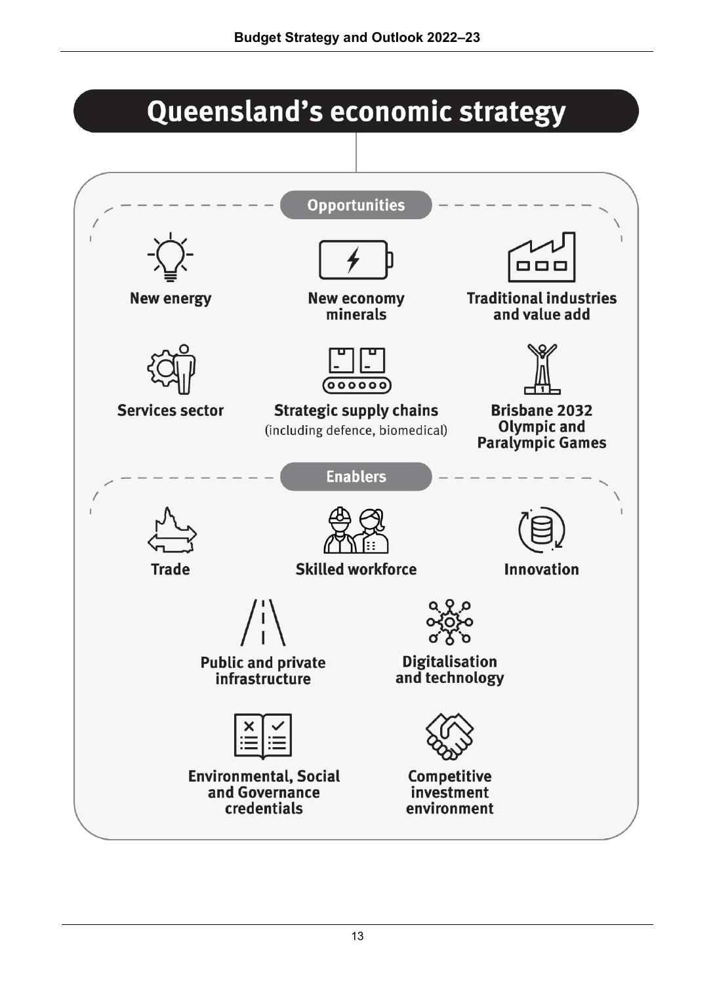# Queensland's economic strategy

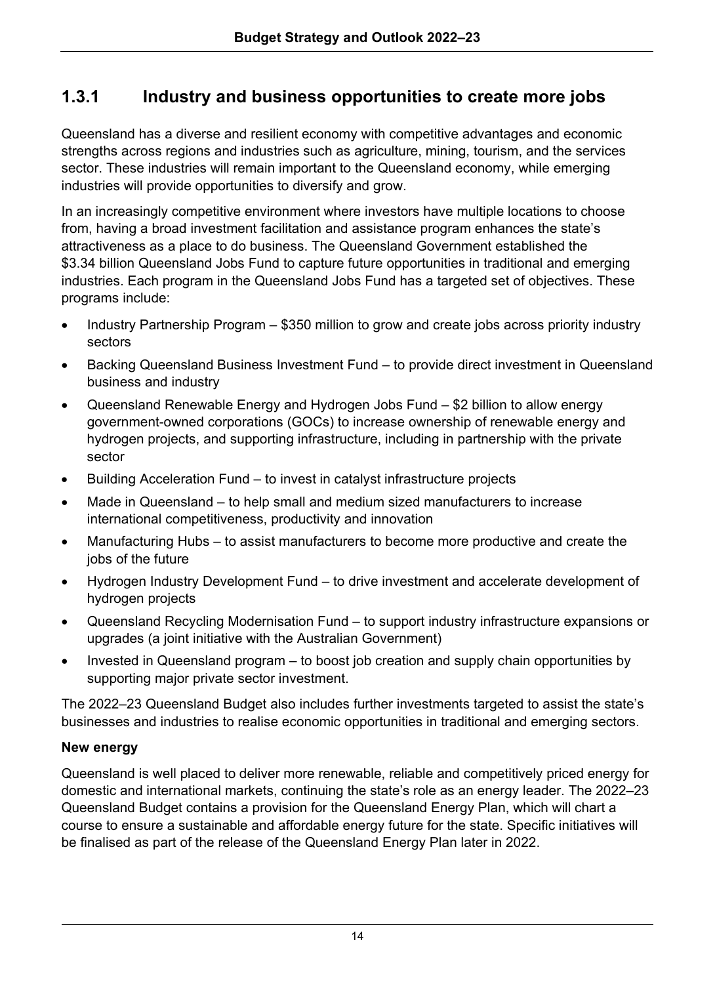## **1.3.1 Industry and business opportunities to create more jobs**

Queensland has a diverse and resilient economy with competitive advantages and economic strengths across regions and industries such as agriculture, mining, tourism, and the services sector. These industries will remain important to the Queensland economy, while emerging industries will provide opportunities to diversify and grow.

In an increasingly competitive environment where investors have multiple locations to choose from, having a broad investment facilitation and assistance program enhances the state's attractiveness as a place to do business. The Queensland Government established the \$3.34 billion Queensland Jobs Fund to capture future opportunities in traditional and emerging industries. Each program in the Queensland Jobs Fund has a targeted set of objectives. These programs include:

- Industry Partnership Program \$350 million to grow and create jobs across priority industry sectors
- Backing Queensland Business Investment Fund to provide direct investment in Queensland business and industry
- Queensland Renewable Energy and Hydrogen Jobs Fund \$2 billion to allow energy government-owned corporations (GOCs) to increase ownership of renewable energy and hydrogen projects, and supporting infrastructure, including in partnership with the private sector
- Building Acceleration Fund to invest in catalyst infrastructure projects
- Made in Queensland to help small and medium sized manufacturers to increase international competitiveness, productivity and innovation
- Manufacturing Hubs to assist manufacturers to become more productive and create the jobs of the future
- Hydrogen Industry Development Fund to drive investment and accelerate development of hydrogen projects
- Queensland Recycling Modernisation Fund to support industry infrastructure expansions or upgrades (a joint initiative with the Australian Government)
- Invested in Queensland program to boost job creation and supply chain opportunities by supporting major private sector investment.

The 2022–23 Queensland Budget also includes further investments targeted to assist the state's businesses and industries to realise economic opportunities in traditional and emerging sectors.

#### **New energy**

Queensland is well placed to deliver more renewable, reliable and competitively priced energy for domestic and international markets, continuing the state's role as an energy leader. The 2022–23 Queensland Budget contains a provision for the Queensland Energy Plan, which will chart a course to ensure a sustainable and affordable energy future for the state. Specific initiatives will be finalised as part of the release of the Queensland Energy Plan later in 2022.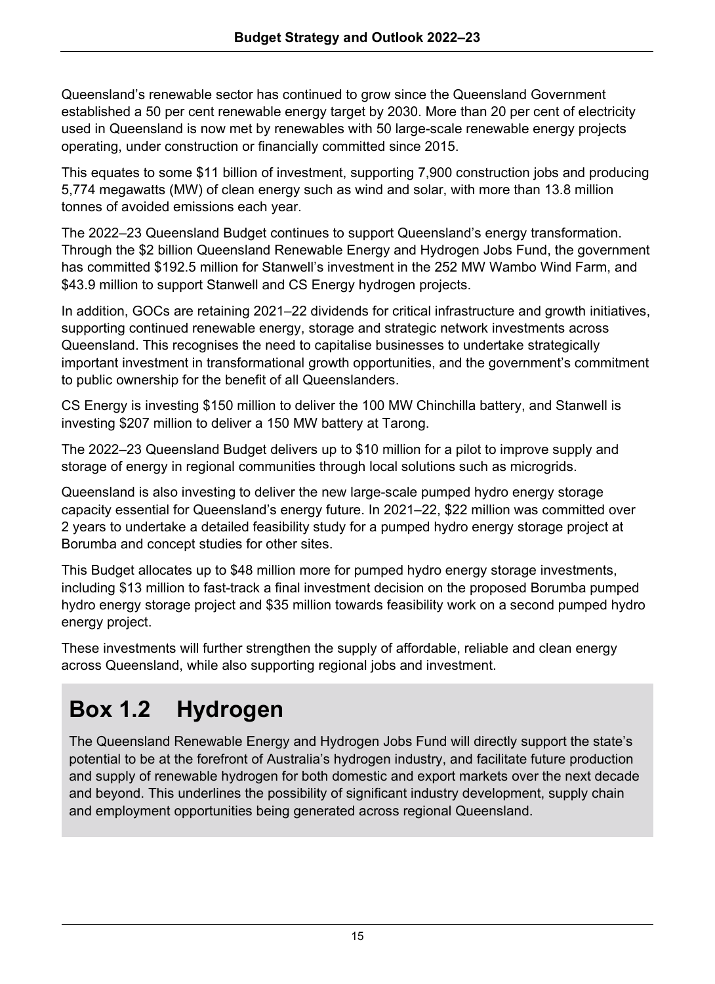Queensland's renewable sector has continued to grow since the Queensland Government established a 50 per cent renewable energy target by 2030. More than 20 per cent of electricity used in Queensland is now met by renewables with 50 large-scale renewable energy projects operating, under construction or financially committed since 2015.

This equates to some \$11 billion of investment, supporting 7,900 construction jobs and producing 5,774 megawatts (MW) of clean energy such as wind and solar, with more than 13.8 million tonnes of avoided emissions each year.

The 2022–23 Queensland Budget continues to support Queensland's energy transformation. Through the \$2 billion Queensland Renewable Energy and Hydrogen Jobs Fund, the government has committed \$192.5 million for Stanwell's investment in the 252 MW Wambo Wind Farm, and \$43.9 million to support Stanwell and CS Energy hydrogen projects.

In addition, GOCs are retaining 2021–22 dividends for critical infrastructure and growth initiatives, supporting continued renewable energy, storage and strategic network investments across Queensland. This recognises the need to capitalise businesses to undertake strategically important investment in transformational growth opportunities, and the government's commitment to public ownership for the benefit of all Queenslanders.

CS Energy is investing \$150 million to deliver the 100 MW Chinchilla battery, and Stanwell is investing \$207 million to deliver a 150 MW battery at Tarong.

The 2022–23 Queensland Budget delivers up to \$10 million for a pilot to improve supply and storage of energy in regional communities through local solutions such as microgrids.

Queensland is also investing to deliver the new large-scale pumped hydro energy storage capacity essential for Queensland's energy future. In 2021–22, \$22 million was committed over 2 years to undertake a detailed feasibility study for a pumped hydro energy storage project at Borumba and concept studies for other sites.

This Budget allocates up to \$48 million more for pumped hydro energy storage investments, including \$13 million to fast-track a final investment decision on the proposed Borumba pumped hydro energy storage project and \$35 million towards feasibility work on a second pumped hydro energy project.

These investments will further strengthen the supply of affordable, reliable and clean energy across Queensland, while also supporting regional jobs and investment.

# **Box 1.2 Hydrogen**

The Queensland Renewable Energy and Hydrogen Jobs Fund will directly support the state's potential to be at the forefront of Australia's hydrogen industry, and facilitate future production and supply of renewable hydrogen for both domestic and export markets over the next decade and beyond. This underlines the possibility of significant industry development, supply chain and employment opportunities being generated across regional Queensland.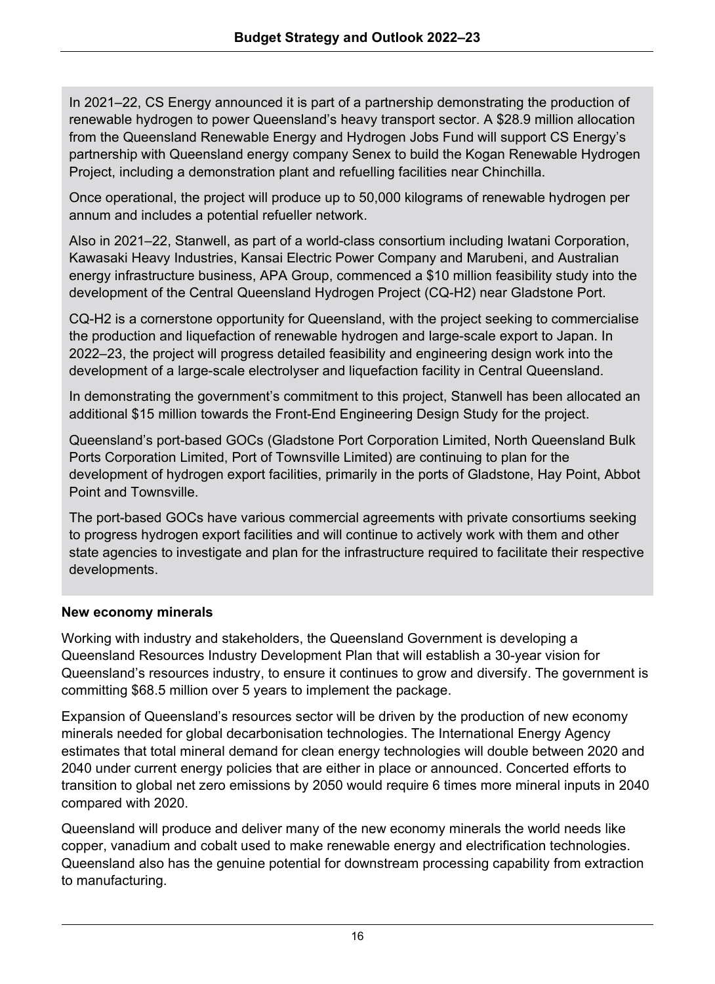In 2021–22, CS Energy announced it is part of a partnership demonstrating the production of renewable hydrogen to power Queensland's heavy transport sector. A \$28.9 million allocation from the Queensland Renewable Energy and Hydrogen Jobs Fund will support CS Energy's partnership with Queensland energy company Senex to build the Kogan Renewable Hydrogen Project, including a demonstration plant and refuelling facilities near Chinchilla.

Once operational, the project will produce up to 50,000 kilograms of renewable hydrogen per annum and includes a potential refueller network.

Also in 2021–22, Stanwell, as part of a world-class consortium including Iwatani Corporation, Kawasaki Heavy Industries, Kansai Electric Power Company and Marubeni, and Australian energy infrastructure business, APA Group, commenced a \$10 million feasibility study into the development of the Central Queensland Hydrogen Project (CQ-H2) near Gladstone Port.

CQ-H2 is a cornerstone opportunity for Queensland, with the project seeking to commercialise the production and liquefaction of renewable hydrogen and large-scale export to Japan. In 2022–23, the project will progress detailed feasibility and engineering design work into the development of a large-scale electrolyser and liquefaction facility in Central Queensland.

In demonstrating the government's commitment to this project, Stanwell has been allocated an additional \$15 million towards the Front-End Engineering Design Study for the project.

Queensland's port-based GOCs (Gladstone Port Corporation Limited, North Queensland Bulk Ports Corporation Limited, Port of Townsville Limited) are continuing to plan for the development of hydrogen export facilities, primarily in the ports of Gladstone, Hay Point, Abbot Point and Townsville.

The port-based GOCs have various commercial agreements with private consortiums seeking to progress hydrogen export facilities and will continue to actively work with them and other state agencies to investigate and plan for the infrastructure required to facilitate their respective developments.

#### **New economy minerals**

Working with industry and stakeholders, the Queensland Government is developing a Queensland Resources Industry Development Plan that will establish a 30-year vision for Queensland's resources industry, to ensure it continues to grow and diversify. The government is committing \$68.5 million over 5 years to implement the package.

Expansion of Queensland's resources sector will be driven by the production of new economy minerals needed for global decarbonisation technologies. The International Energy Agency estimates that total mineral demand for clean energy technologies will double between 2020 and 2040 under current energy policies that are either in place or announced. Concerted efforts to transition to global net zero emissions by 2050 would require 6 times more mineral inputs in 2040 compared with 2020.

Queensland will produce and deliver many of the new economy minerals the world needs like copper, vanadium and cobalt used to make renewable energy and electrification technologies. Queensland also has the genuine potential for downstream processing capability from extraction to manufacturing.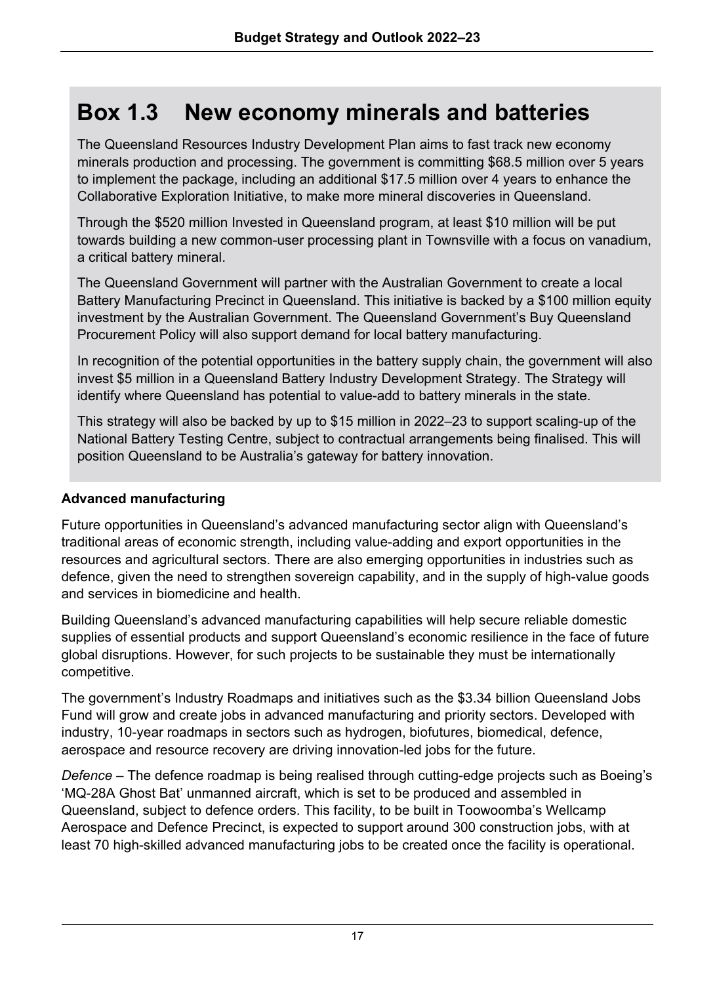# **Box 1.3 New economy minerals and batteries**

The Queensland Resources Industry Development Plan aims to fast track new economy minerals production and processing. The government is committing \$68.5 million over 5 years to implement the package, including an additional \$17.5 million over 4 years to enhance the Collaborative Exploration Initiative, to make more mineral discoveries in Queensland.

Through the \$520 million Invested in Queensland program, at least \$10 million will be put towards building a new common-user processing plant in Townsville with a focus on vanadium, a critical battery mineral.

The Queensland Government will partner with the Australian Government to create a local Battery Manufacturing Precinct in Queensland. This initiative is backed by a \$100 million equity investment by the Australian Government. The Queensland Government's Buy Queensland Procurement Policy will also support demand for local battery manufacturing.

In recognition of the potential opportunities in the battery supply chain, the government will also invest \$5 million in a Queensland Battery Industry Development Strategy. The Strategy will identify where Queensland has potential to value-add to battery minerals in the state.

This strategy will also be backed by up to \$15 million in 2022–23 to support scaling-up of the National Battery Testing Centre, subject to contractual arrangements being finalised. This will position Queensland to be Australia's gateway for battery innovation.

#### **Advanced manufacturing**

Future opportunities in Queensland's advanced manufacturing sector align with Queensland's traditional areas of economic strength, including value-adding and export opportunities in the resources and agricultural sectors. There are also emerging opportunities in industries such as defence, given the need to strengthen sovereign capability, and in the supply of high-value goods and services in biomedicine and health.

Building Queensland's advanced manufacturing capabilities will help secure reliable domestic supplies of essential products and support Queensland's economic resilience in the face of future global disruptions. However, for such projects to be sustainable they must be internationally competitive.

The government's Industry Roadmaps and initiatives such as the \$3.34 billion Queensland Jobs Fund will grow and create jobs in advanced manufacturing and priority sectors. Developed with industry, 10-year roadmaps in sectors such as hydrogen, biofutures, biomedical, defence, aerospace and resource recovery are driving innovation-led jobs for the future.

*Defence* – The defence roadmap is being realised through cutting-edge projects such as Boeing's 'MQ-28A Ghost Bat' unmanned aircraft, which is set to be produced and assembled in Queensland, subject to defence orders. This facility, to be built in Toowoomba's Wellcamp Aerospace and Defence Precinct, is expected to support around 300 construction jobs, with at least 70 high-skilled advanced manufacturing jobs to be created once the facility is operational.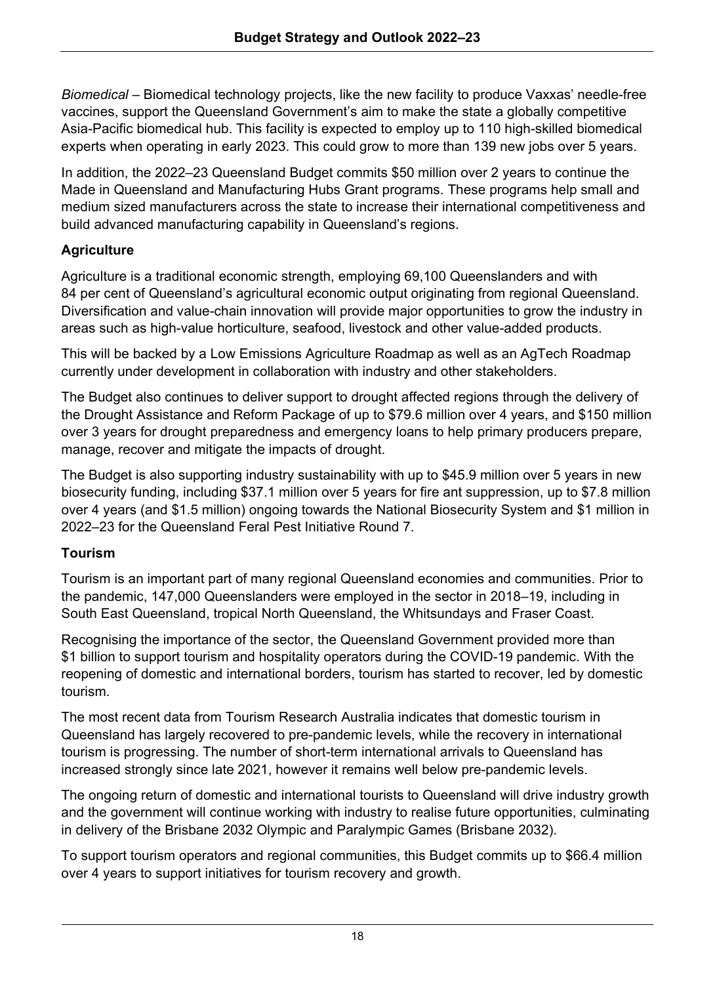*Biomedical* – Biomedical technology projects, like the new facility to produce Vaxxas' needle-free vaccines, support the Queensland Government's aim to make the state a globally competitive Asia-Pacific biomedical hub. This facility is expected to employ up to 110 high-skilled biomedical experts when operating in early 2023. This could grow to more than 139 new jobs over 5 years.

In addition, the 2022–23 Queensland Budget commits \$50 million over 2 years to continue the Made in Queensland and Manufacturing Hubs Grant programs. These programs help small and medium sized manufacturers across the state to increase their international competitiveness and build advanced manufacturing capability in Queensland's regions.

#### **Agriculture**

Agriculture is a traditional economic strength, employing 69,100 Queenslanders and with 84 per cent of Queensland's agricultural economic output originating from regional Queensland. Diversification and value-chain innovation will provide major opportunities to grow the industry in areas such as high-value horticulture, seafood, livestock and other value-added products.

This will be backed by a Low Emissions Agriculture Roadmap as well as an AgTech Roadmap currently under development in collaboration with industry and other stakeholders.

The Budget also continues to deliver support to drought affected regions through the delivery of the Drought Assistance and Reform Package of up to \$79.6 million over 4 years, and \$150 million over 3 years for drought preparedness and emergency loans to help primary producers prepare, manage, recover and mitigate the impacts of drought.

The Budget is also supporting industry sustainability with up to \$45.9 million over 5 years in new biosecurity funding, including \$37.1 million over 5 years for fire ant suppression, up to \$7.8 million over 4 years (and \$1.5 million) ongoing towards the National Biosecurity System and \$1 million in 2022–23 for the Queensland Feral Pest Initiative Round 7.

#### **Tourism**

Tourism is an important part of many regional Queensland economies and communities. Prior to the pandemic, 147,000 Queenslanders were employed in the sector in 2018–19, including in South East Queensland, tropical North Queensland, the Whitsundays and Fraser Coast.

Recognising the importance of the sector, the Queensland Government provided more than \$1 billion to support tourism and hospitality operators during the COVID-19 pandemic. With the reopening of domestic and international borders, tourism has started to recover, led by domestic tourism.

The most recent data from Tourism Research Australia indicates that domestic tourism in Queensland has largely recovered to pre-pandemic levels, while the recovery in international tourism is progressing. The number of short-term international arrivals to Queensland has increased strongly since late 2021, however it remains well below pre-pandemic levels.

The ongoing return of domestic and international tourists to Queensland will drive industry growth and the government will continue working with industry to realise future opportunities, culminating in delivery of the Brisbane 2032 Olympic and Paralympic Games (Brisbane 2032).

To support tourism operators and regional communities, this Budget commits up to \$66.4 million over 4 years to support initiatives for tourism recovery and growth.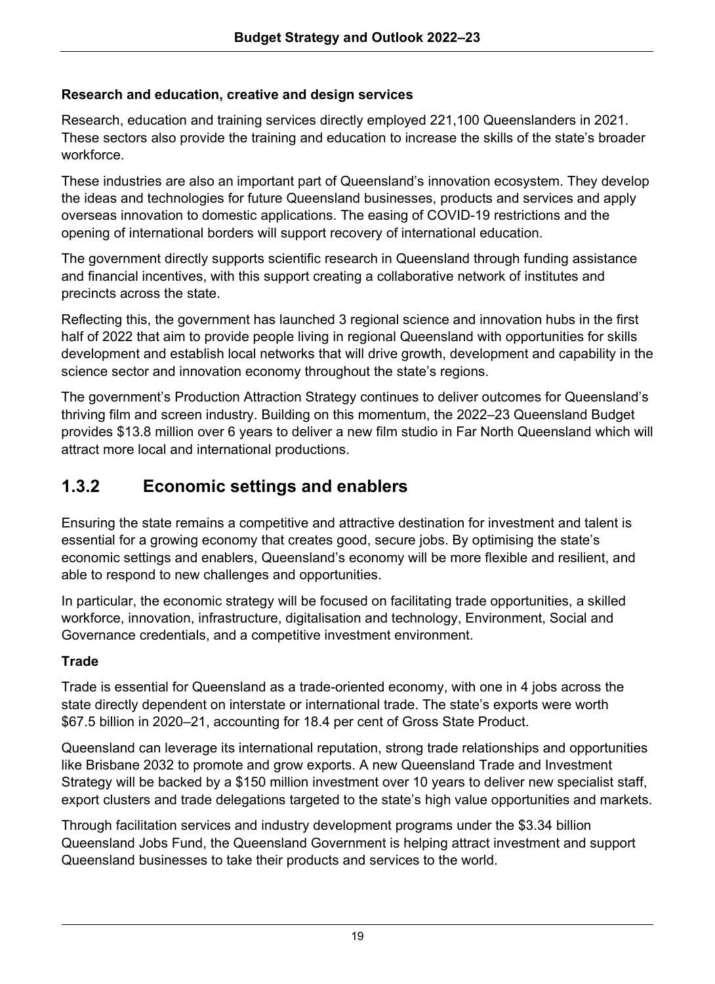#### **Research and education, creative and design services**

Research, education and training services directly employed 221,100 Queenslanders in 2021. These sectors also provide the training and education to increase the skills of the state's broader workforce.

These industries are also an important part of Queensland's innovation ecosystem. They develop the ideas and technologies for future Queensland businesses, products and services and apply overseas innovation to domestic applications. The easing of COVID-19 restrictions and the opening of international borders will support recovery of international education.

The government directly supports scientific research in Queensland through funding assistance and financial incentives, with this support creating a collaborative network of institutes and precincts across the state.

Reflecting this, the government has launched 3 regional science and innovation hubs in the first half of 2022 that aim to provide people living in regional Queensland with opportunities for skills development and establish local networks that will drive growth, development and capability in the science sector and innovation economy throughout the state's regions.

The government's Production Attraction Strategy continues to deliver outcomes for Queensland's thriving film and screen industry. Building on this momentum, the 2022–23 Queensland Budget provides \$13.8 million over 6 years to deliver a new film studio in Far North Queensland which will attract more local and international productions.

## **1.3.2 Economic settings and enablers**

Ensuring the state remains a competitive and attractive destination for investment and talent is essential for a growing economy that creates good, secure jobs. By optimising the state's economic settings and enablers, Queensland's economy will be more flexible and resilient, and able to respond to new challenges and opportunities.

In particular, the economic strategy will be focused on facilitating trade opportunities, a skilled workforce, innovation, infrastructure, digitalisation and technology, Environment, Social and Governance credentials, and a competitive investment environment.

#### **Trade**

Trade is essential for Queensland as a trade-oriented economy, with one in 4 jobs across the state directly dependent on interstate or international trade. The state's exports were worth \$67.5 billion in 2020–21, accounting for 18.4 per cent of Gross State Product.

Queensland can leverage its international reputation, strong trade relationships and opportunities like Brisbane 2032 to promote and grow exports. A new Queensland Trade and Investment Strategy will be backed by a \$150 million investment over 10 years to deliver new specialist staff, export clusters and trade delegations targeted to the state's high value opportunities and markets.

Through facilitation services and industry development programs under the \$3.34 billion Queensland Jobs Fund, the Queensland Government is helping attract investment and support Queensland businesses to take their products and services to the world.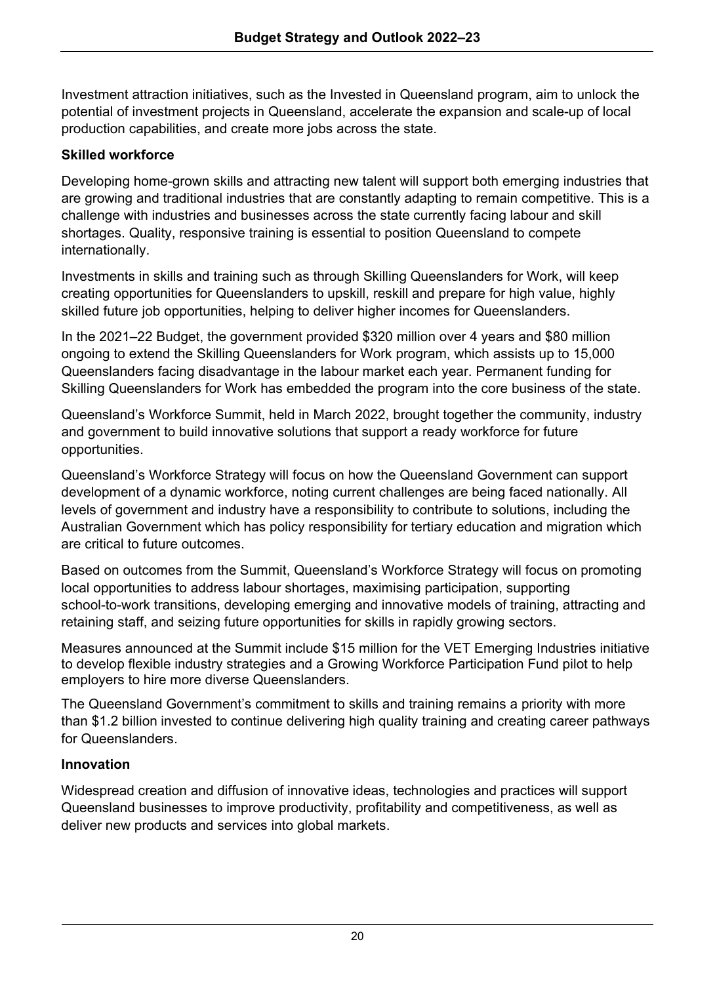Investment attraction initiatives, such as the Invested in Queensland program, aim to unlock the potential of investment projects in Queensland, accelerate the expansion and scale-up of local production capabilities, and create more jobs across the state.

#### **Skilled workforce**

Developing home-grown skills and attracting new talent will support both emerging industries that are growing and traditional industries that are constantly adapting to remain competitive. This is a challenge with industries and businesses across the state currently facing labour and skill shortages. Quality, responsive training is essential to position Queensland to compete internationally.

Investments in skills and training such as through Skilling Queenslanders for Work, will keep creating opportunities for Queenslanders to upskill, reskill and prepare for high value, highly skilled future job opportunities, helping to deliver higher incomes for Queenslanders.

In the 2021–22 Budget, the government provided \$320 million over 4 years and \$80 million ongoing to extend the Skilling Queenslanders for Work program, which assists up to 15,000 Queenslanders facing disadvantage in the labour market each year. Permanent funding for Skilling Queenslanders for Work has embedded the program into the core business of the state.

Queensland's Workforce Summit, held in March 2022, brought together the community, industry and government to build innovative solutions that support a ready workforce for future opportunities.

Queensland's Workforce Strategy will focus on how the Queensland Government can support development of a dynamic workforce, noting current challenges are being faced nationally. All levels of government and industry have a responsibility to contribute to solutions, including the Australian Government which has policy responsibility for tertiary education and migration which are critical to future outcomes.

Based on outcomes from the Summit, Queensland's Workforce Strategy will focus on promoting local opportunities to address labour shortages, maximising participation, supporting school-to-work transitions, developing emerging and innovative models of training, attracting and retaining staff, and seizing future opportunities for skills in rapidly growing sectors.

Measures announced at the Summit include \$15 million for the VET Emerging Industries initiative to develop flexible industry strategies and a Growing Workforce Participation Fund pilot to help employers to hire more diverse Queenslanders.

The Queensland Government's commitment to skills and training remains a priority with more than \$1.2 billion invested to continue delivering high quality training and creating career pathways for Queenslanders.

#### **Innovation**

Widespread creation and diffusion of innovative ideas, technologies and practices will support Queensland businesses to improve productivity, profitability and competitiveness, as well as deliver new products and services into global markets.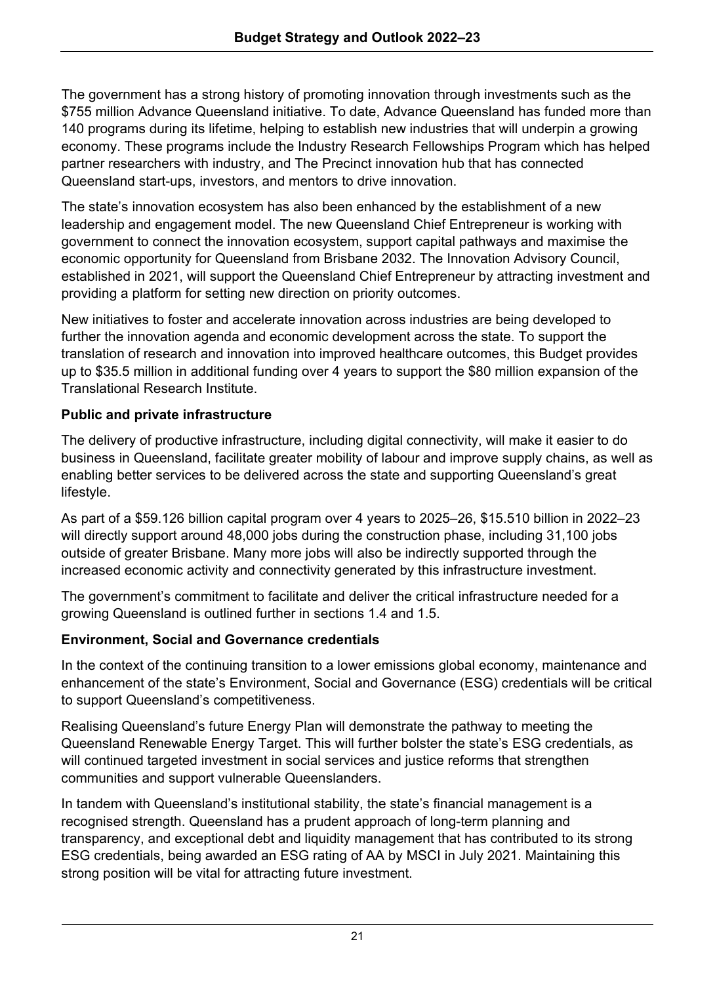The government has a strong history of promoting innovation through investments such as the \$755 million Advance Queensland initiative. To date, Advance Queensland has funded more than 140 programs during its lifetime, helping to establish new industries that will underpin a growing economy. These programs include the Industry Research Fellowships Program which has helped partner researchers with industry, and The Precinct innovation hub that has connected Queensland start-ups, investors, and mentors to drive innovation.

The state's innovation ecosystem has also been enhanced by the establishment of a new leadership and engagement model. The new Queensland Chief Entrepreneur is working with government to connect the innovation ecosystem, support capital pathways and maximise the economic opportunity for Queensland from Brisbane 2032. The Innovation Advisory Council, established in 2021, will support the Queensland Chief Entrepreneur by attracting investment and providing a platform for setting new direction on priority outcomes.

New initiatives to foster and accelerate innovation across industries are being developed to further the innovation agenda and economic development across the state. To support the translation of research and innovation into improved healthcare outcomes, this Budget provides up to \$35.5 million in additional funding over 4 years to support the \$80 million expansion of the Translational Research Institute.

#### **Public and private infrastructure**

The delivery of productive infrastructure, including digital connectivity, will make it easier to do business in Queensland, facilitate greater mobility of labour and improve supply chains, as well as enabling better services to be delivered across the state and supporting Queensland's great lifestyle.

As part of a \$59.126 billion capital program over 4 years to 2025–26, \$15.510 billion in 2022–23 will directly support around 48,000 jobs during the construction phase, including 31,100 jobs outside of greater Brisbane. Many more jobs will also be indirectly supported through the increased economic activity and connectivity generated by this infrastructure investment.

The government's commitment to facilitate and deliver the critical infrastructure needed for a growing Queensland is outlined further in sections 1.4 and 1.5.

#### **Environment, Social and Governance credentials**

In the context of the continuing transition to a lower emissions global economy, maintenance and enhancement of the state's Environment, Social and Governance (ESG) credentials will be critical to support Queensland's competitiveness.

Realising Queensland's future Energy Plan will demonstrate the pathway to meeting the Queensland Renewable Energy Target. This will further bolster the state's ESG credentials, as will continued targeted investment in social services and justice reforms that strengthen communities and support vulnerable Queenslanders.

In tandem with Queensland's institutional stability, the state's financial management is a recognised strength. Queensland has a prudent approach of long-term planning and transparency, and exceptional debt and liquidity management that has contributed to its strong ESG credentials, being awarded an ESG rating of AA by MSCI in July 2021. Maintaining this strong position will be vital for attracting future investment.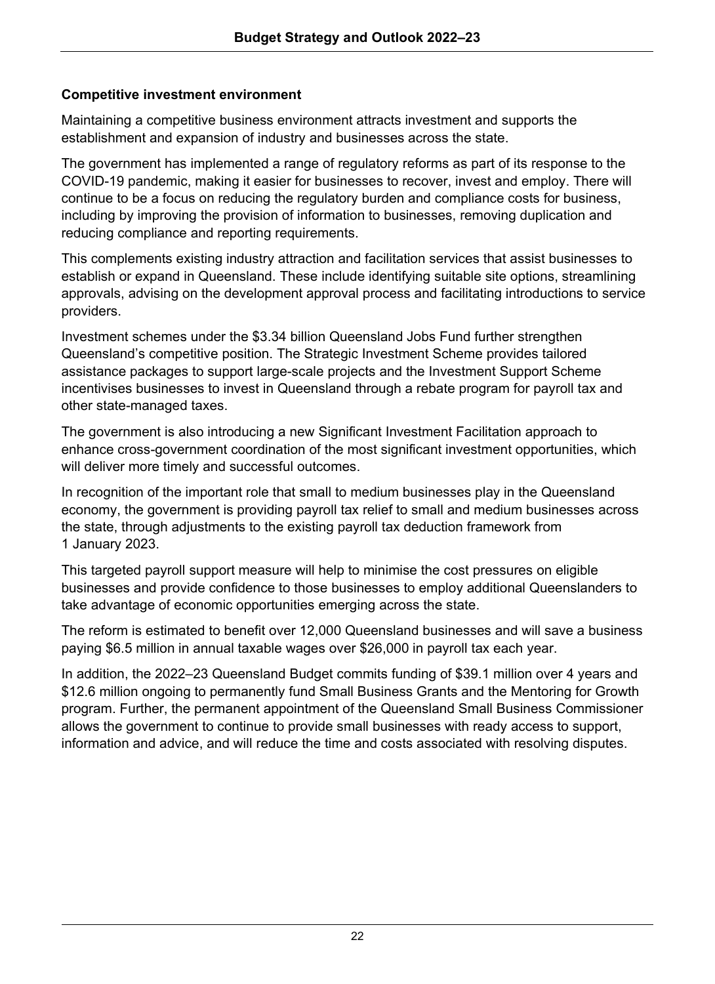#### **Competitive investment environment**

Maintaining a competitive business environment attracts investment and supports the establishment and expansion of industry and businesses across the state.

The government has implemented a range of regulatory reforms as part of its response to the COVID-19 pandemic, making it easier for businesses to recover, invest and employ. There will continue to be a focus on reducing the regulatory burden and compliance costs for business, including by improving the provision of information to businesses, removing duplication and reducing compliance and reporting requirements.

This complements existing industry attraction and facilitation services that assist businesses to establish or expand in Queensland. These include identifying suitable site options, streamlining approvals, advising on the development approval process and facilitating introductions to service providers.

Investment schemes under the \$3.34 billion Queensland Jobs Fund further strengthen Queensland's competitive position. The Strategic Investment Scheme provides tailored assistance packages to support large-scale projects and the Investment Support Scheme incentivises businesses to invest in Queensland through a rebate program for payroll tax and other state-managed taxes.

The government is also introducing a new Significant Investment Facilitation approach to enhance cross-government coordination of the most significant investment opportunities, which will deliver more timely and successful outcomes.

In recognition of the important role that small to medium businesses play in the Queensland economy, the government is providing payroll tax relief to small and medium businesses across the state, through adjustments to the existing payroll tax deduction framework from 1 January 2023.

This targeted payroll support measure will help to minimise the cost pressures on eligible businesses and provide confidence to those businesses to employ additional Queenslanders to take advantage of economic opportunities emerging across the state.

The reform is estimated to benefit over 12,000 Queensland businesses and will save a business paying \$6.5 million in annual taxable wages over \$26,000 in payroll tax each year.

In addition, the 2022–23 Queensland Budget commits funding of \$39.1 million over 4 years and \$12.6 million ongoing to permanently fund Small Business Grants and the Mentoring for Growth program. Further, the permanent appointment of the Queensland Small Business Commissioner allows the government to continue to provide small businesses with ready access to support, information and advice, and will reduce the time and costs associated with resolving disputes.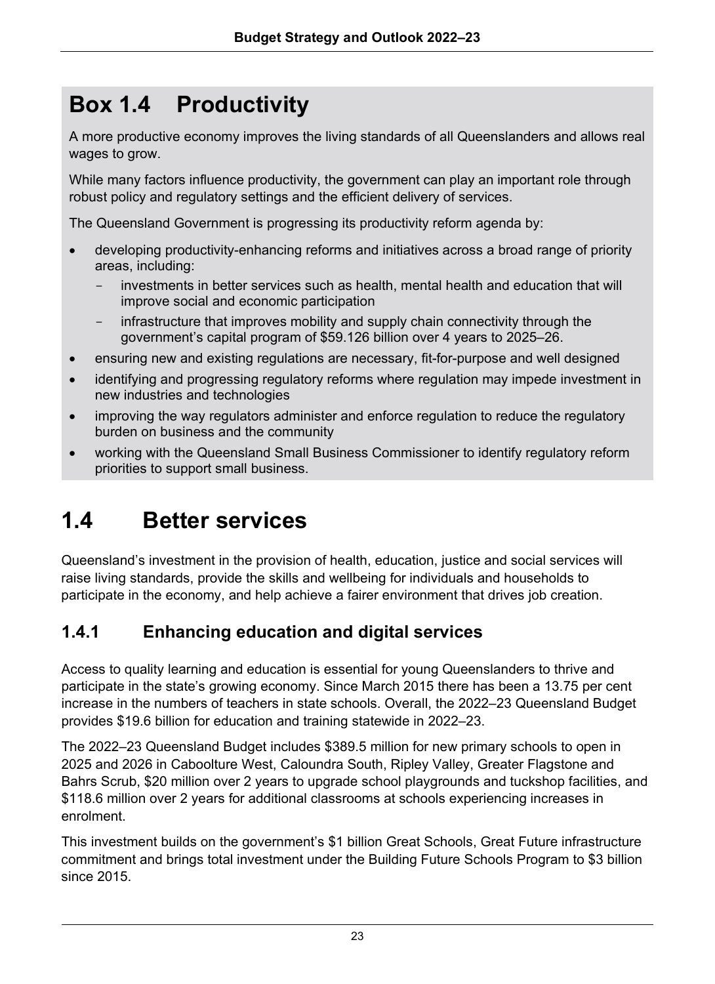# **Box 1.4 Productivity**

A more productive economy improves the living standards of all Queenslanders and allows real wages to grow.

While many factors influence productivity, the government can play an important role through robust policy and regulatory settings and the efficient delivery of services.

The Queensland Government is progressing its productivity reform agenda by:

- developing productivity-enhancing reforms and initiatives across a broad range of priority areas, including:
	- investments in better services such as health, mental health and education that will improve social and economic participation
	- infrastructure that improves mobility and supply chain connectivity through the government's capital program of \$59.126 billion over 4 years to 2025–26.
- ensuring new and existing regulations are necessary, fit-for-purpose and well designed
- identifying and progressing regulatory reforms where regulation may impede investment in new industries and technologies
- improving the way regulators administer and enforce regulation to reduce the regulatory burden on business and the community
- working with the Queensland Small Business Commissioner to identify regulatory reform priorities to support small business.

# **1.4 Better services**

Queensland's investment in the provision of health, education, justice and social services will raise living standards, provide the skills and wellbeing for individuals and households to participate in the economy, and help achieve a fairer environment that drives job creation.

## **1.4.1 Enhancing education and digital services**

Access to quality learning and education is essential for young Queenslanders to thrive and participate in the state's growing economy. Since March 2015 there has been a 13.75 per cent increase in the numbers of teachers in state schools. Overall, the 2022–23 Queensland Budget provides \$19.6 billion for education and training statewide in 2022–23.

The 2022–23 Queensland Budget includes \$389.5 million for new primary schools to open in 2025 and 2026 in Caboolture West, Caloundra South, Ripley Valley, Greater Flagstone and Bahrs Scrub, \$20 million over 2 years to upgrade school playgrounds and tuckshop facilities, and \$118.6 million over 2 years for additional classrooms at schools experiencing increases in enrolment.

This investment builds on the government's \$1 billion Great Schools, Great Future infrastructure commitment and brings total investment under the Building Future Schools Program to \$3 billion since 2015.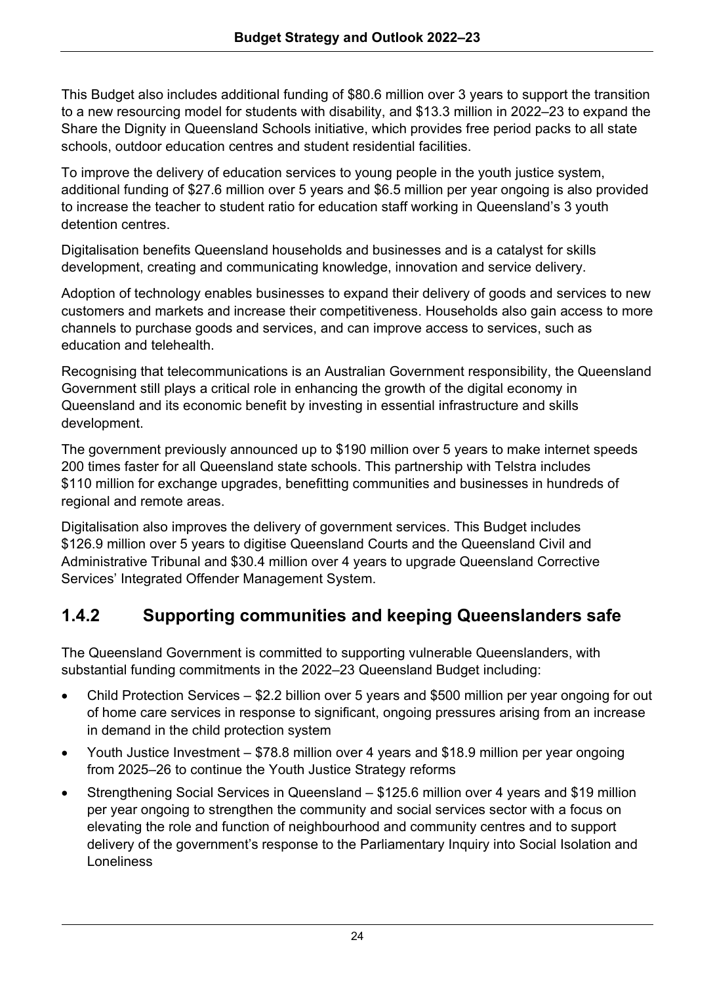This Budget also includes additional funding of \$80.6 million over 3 years to support the transition to a new resourcing model for students with disability, and \$13.3 million in 2022–23 to expand the Share the Dignity in Queensland Schools initiative, which provides free period packs to all state schools, outdoor education centres and student residential facilities.

To improve the delivery of education services to young people in the youth justice system, additional funding of \$27.6 million over 5 years and \$6.5 million per year ongoing is also provided to increase the teacher to student ratio for education staff working in Queensland's 3 youth detention centres.

Digitalisation benefits Queensland households and businesses and is a catalyst for skills development, creating and communicating knowledge, innovation and service delivery.

Adoption of technology enables businesses to expand their delivery of goods and services to new customers and markets and increase their competitiveness. Households also gain access to more channels to purchase goods and services, and can improve access to services, such as education and telehealth.

Recognising that telecommunications is an Australian Government responsibility, the Queensland Government still plays a critical role in enhancing the growth of the digital economy in Queensland and its economic benefit by investing in essential infrastructure and skills development.

The government previously announced up to \$190 million over 5 years to make internet speeds 200 times faster for all Queensland state schools. This partnership with Telstra includes \$110 million for exchange upgrades, benefitting communities and businesses in hundreds of regional and remote areas.

Digitalisation also improves the delivery of government services. This Budget includes \$126.9 million over 5 years to digitise Queensland Courts and the Queensland Civil and Administrative Tribunal and \$30.4 million over 4 years to upgrade Queensland Corrective Services' Integrated Offender Management System.

## **1.4.2 Supporting communities and keeping Queenslanders safe**

The Queensland Government is committed to supporting vulnerable Queenslanders, with substantial funding commitments in the 2022–23 Queensland Budget including:

- Child Protection Services \$2.2 billion over 5 years and \$500 million per year ongoing for out of home care services in response to significant, ongoing pressures arising from an increase in demand in the child protection system
- Youth Justice Investment \$78.8 million over 4 years and \$18.9 million per year ongoing from 2025–26 to continue the Youth Justice Strategy reforms
- Strengthening Social Services in Queensland \$125.6 million over 4 years and \$19 million per year ongoing to strengthen the community and social services sector with a focus on elevating the role and function of neighbourhood and community centres and to support delivery of the government's response to the Parliamentary Inquiry into Social Isolation and Loneliness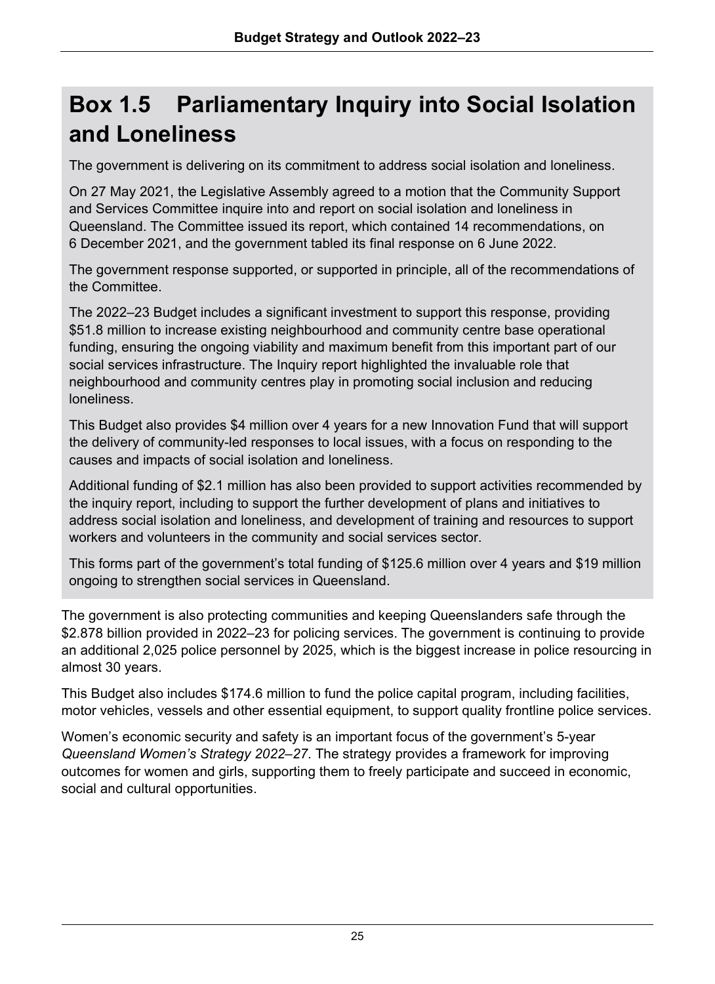# **Box 1.5 Parliamentary Inquiry into Social Isolation and Loneliness**

The government is delivering on its commitment to address social isolation and loneliness.

On 27 May 2021, the Legislative Assembly agreed to a motion that the Community Support and Services Committee inquire into and report on social isolation and loneliness in Queensland. The Committee issued its report, which contained 14 recommendations, on 6 December 2021, and the government tabled its final response on 6 June 2022.

The government response supported, or supported in principle, all of the recommendations of the Committee.

The 2022–23 Budget includes a significant investment to support this response, providing \$51.8 million to increase existing neighbourhood and community centre base operational funding, ensuring the ongoing viability and maximum benefit from this important part of our social services infrastructure. The Inquiry report highlighted the invaluable role that neighbourhood and community centres play in promoting social inclusion and reducing loneliness.

This Budget also provides \$4 million over 4 years for a new Innovation Fund that will support the delivery of community-led responses to local issues, with a focus on responding to the causes and impacts of social isolation and loneliness.

Additional funding of \$2.1 million has also been provided to support activities recommended by the inquiry report, including to support the further development of plans and initiatives to address social isolation and loneliness, and development of training and resources to support workers and volunteers in the community and social services sector.

This forms part of the government's total funding of \$125.6 million over 4 years and \$19 million ongoing to strengthen social services in Queensland.

The government is also protecting communities and keeping Queenslanders safe through the \$2.878 billion provided in 2022–23 for policing services. The government is continuing to provide an additional 2,025 police personnel by 2025, which is the biggest increase in police resourcing in almost 30 years.

This Budget also includes \$174.6 million to fund the police capital program, including facilities, motor vehicles, vessels and other essential equipment, to support quality frontline police services.

Women's economic security and safety is an important focus of the government's 5-year *Queensland Women's Strategy 2022–27*. The strategy provides a framework for improving outcomes for women and girls, supporting them to freely participate and succeed in economic, social and cultural opportunities.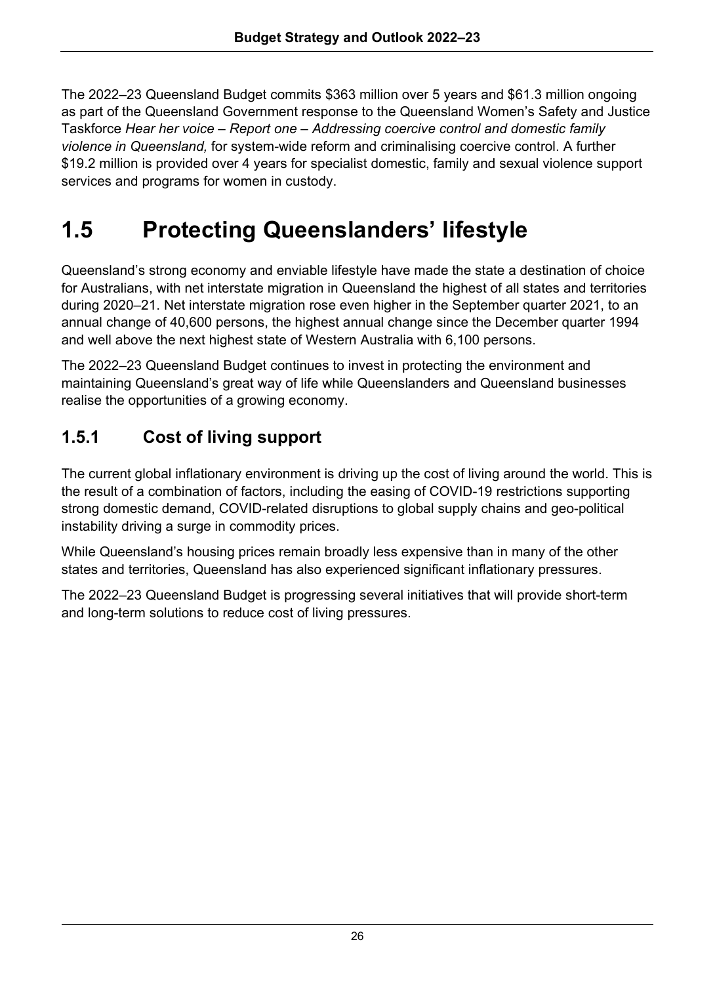The 2022–23 Queensland Budget commits \$363 million over 5 years and \$61.3 million ongoing as part of the Queensland Government response to the Queensland Women's Safety and Justice Taskforce *Hear her voice – Report one – Addressing coercive control and domestic family violence in Queensland,* for system-wide reform and criminalising coercive control. A further \$19.2 million is provided over 4 years for specialist domestic, family and sexual violence support services and programs for women in custody.

# **1.5 Protecting Queenslanders' lifestyle**

Queensland's strong economy and enviable lifestyle have made the state a destination of choice for Australians, with net interstate migration in Queensland the highest of all states and territories during 2020–21. Net interstate migration rose even higher in the September quarter 2021, to an annual change of 40,600 persons, the highest annual change since the December quarter 1994 and well above the next highest state of Western Australia with 6,100 persons.

The 2022–23 Queensland Budget continues to invest in protecting the environment and maintaining Queensland's great way of life while Queenslanders and Queensland businesses realise the opportunities of a growing economy.

## **1.5.1 Cost of living support**

The current global inflationary environment is driving up the cost of living around the world. This is the result of a combination of factors, including the easing of COVID-19 restrictions supporting strong domestic demand, COVID-related disruptions to global supply chains and geo-political instability driving a surge in commodity prices.

While Queensland's housing prices remain broadly less expensive than in many of the other states and territories, Queensland has also experienced significant inflationary pressures.

The 2022–23 Queensland Budget is progressing several initiatives that will provide short-term and long-term solutions to reduce cost of living pressures.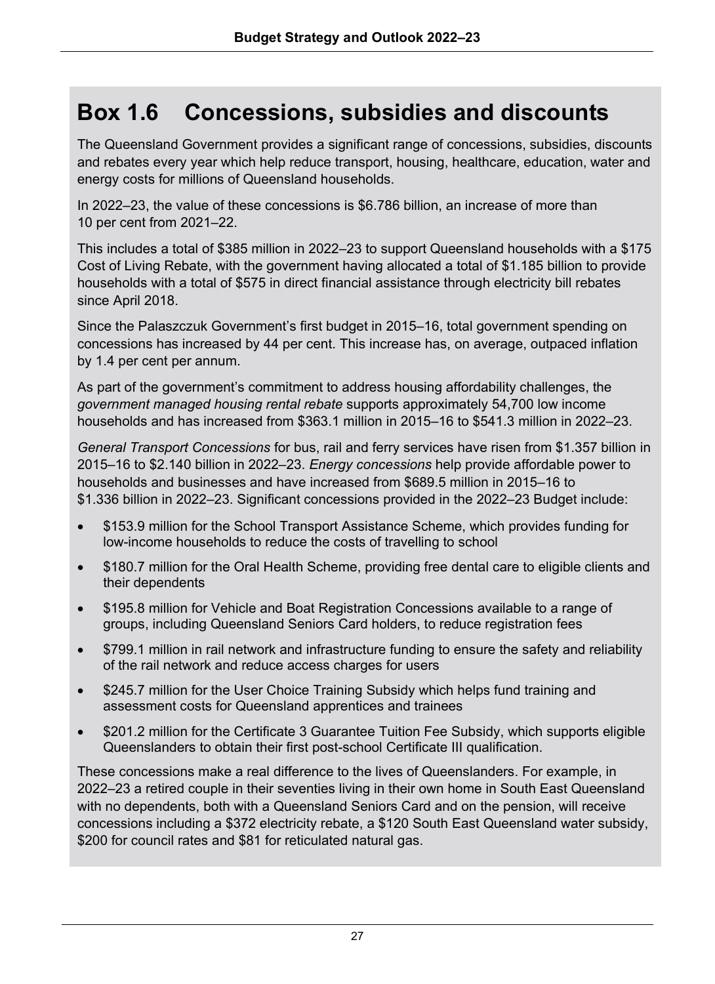# **Box 1.6 Concessions, subsidies and discounts**

The Queensland Government provides a significant range of concessions, subsidies, discounts and rebates every year which help reduce transport, housing, healthcare, education, water and energy costs for millions of Queensland households.

In 2022–23, the value of these concessions is \$6.786 billion, an increase of more than 10 per cent from 2021–22.

This includes a total of \$385 million in 2022–23 to support Queensland households with a \$175 Cost of Living Rebate, with the government having allocated a total of \$1.185 billion to provide households with a total of \$575 in direct financial assistance through electricity bill rebates since April 2018.

Since the Palaszczuk Government's first budget in 2015–16, total government spending on concessions has increased by 44 per cent. This increase has, on average, outpaced inflation by 1.4 per cent per annum.

As part of the government's commitment to address housing affordability challenges, the *government managed housing rental rebate* supports approximately 54,700 low income households and has increased from \$363.1 million in 2015–16 to \$541.3 million in 2022–23.

*General Transport Concessions* for bus, rail and ferry services have risen from \$1.357 billion in 2015–16 to \$2.140 billion in 2022–23. *Energy concessions* help provide affordable power to households and businesses and have increased from \$689.5 million in 2015–16 to \$1.336 billion in 2022–23. Significant concessions provided in the 2022–23 Budget include:

- \$153.9 million for the School Transport Assistance Scheme, which provides funding for low-income households to reduce the costs of travelling to school
- \$180.7 million for the Oral Health Scheme, providing free dental care to eligible clients and their dependents
- \$195.8 million for Vehicle and Boat Registration Concessions available to a range of groups, including Queensland Seniors Card holders, to reduce registration fees
- \$799.1 million in rail network and infrastructure funding to ensure the safety and reliability of the rail network and reduce access charges for users
- \$245.7 million for the User Choice Training Subsidy which helps fund training and assessment costs for Queensland apprentices and trainees
- \$201.2 million for the Certificate 3 Guarantee Tuition Fee Subsidy, which supports eligible Queenslanders to obtain their first post-school Certificate III qualification.

These concessions make a real difference to the lives of Queenslanders. For example, in 2022–23 a retired couple in their seventies living in their own home in South East Queensland with no dependents, both with a Queensland Seniors Card and on the pension, will receive concessions including a \$372 electricity rebate, a \$120 South East Queensland water subsidy, \$200 for council rates and \$81 for reticulated natural gas.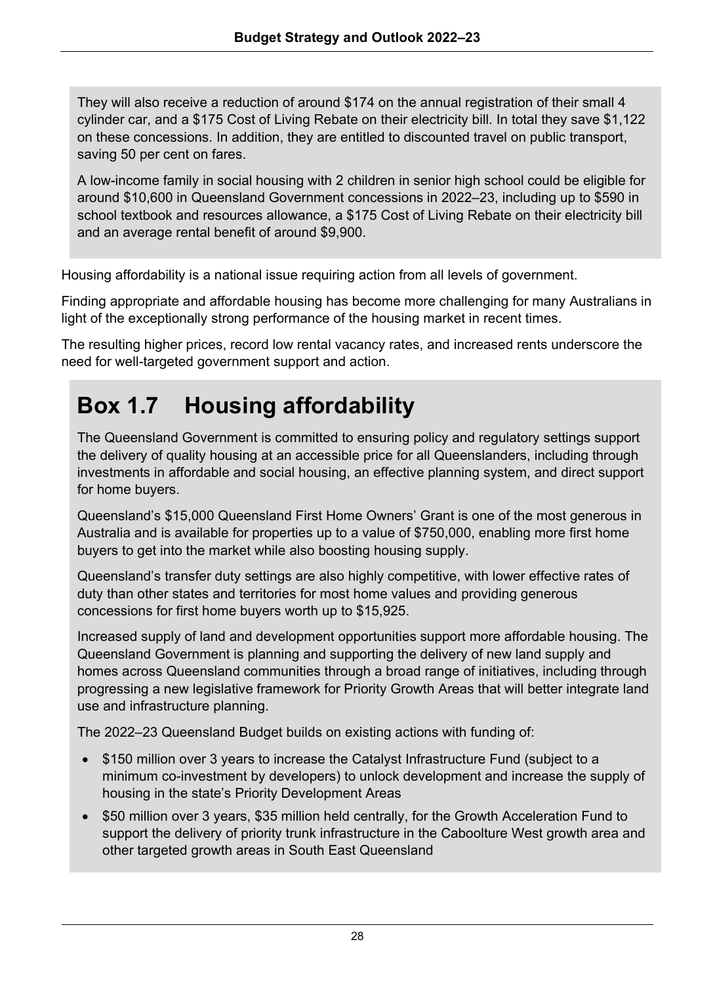They will also receive a reduction of around \$174 on the annual registration of their small 4 cylinder car, and a \$175 Cost of Living Rebate on their electricity bill. In total they save \$1,122 on these concessions. In addition, they are entitled to discounted travel on public transport, saving 50 per cent on fares.

A low-income family in social housing with 2 children in senior high school could be eligible for around \$10,600 in Queensland Government concessions in 2022–23, including up to \$590 in school textbook and resources allowance, a \$175 Cost of Living Rebate on their electricity bill and an average rental benefit of around \$9,900.

Housing affordability is a national issue requiring action from all levels of government.

Finding appropriate and affordable housing has become more challenging for many Australians in light of the exceptionally strong performance of the housing market in recent times.

The resulting higher prices, record low rental vacancy rates, and increased rents underscore the need for well-targeted government support and action.

# **Box 1.7 Housing affordability**

The Queensland Government is committed to ensuring policy and regulatory settings support the delivery of quality housing at an accessible price for all Queenslanders, including through investments in affordable and social housing, an effective planning system, and direct support for home buyers.

Queensland's \$15,000 Queensland First Home Owners' Grant is one of the most generous in Australia and is available for properties up to a value of \$750,000, enabling more first home buyers to get into the market while also boosting housing supply.

Queensland's transfer duty settings are also highly competitive, with lower effective rates of duty than other states and territories for most home values and providing generous concessions for first home buyers worth up to \$15,925.

Increased supply of land and development opportunities support more affordable housing. The Queensland Government is planning and supporting the delivery of new land supply and homes across Queensland communities through a broad range of initiatives, including through progressing a new legislative framework for Priority Growth Areas that will better integrate land use and infrastructure planning.

The 2022–23 Queensland Budget builds on existing actions with funding of:

- \$150 million over 3 years to increase the Catalyst Infrastructure Fund (subject to a minimum co-investment by developers) to unlock development and increase the supply of housing in the state's Priority Development Areas
- \$50 million over 3 years, \$35 million held centrally, for the Growth Acceleration Fund to support the delivery of priority trunk infrastructure in the Caboolture West growth area and other targeted growth areas in South East Queensland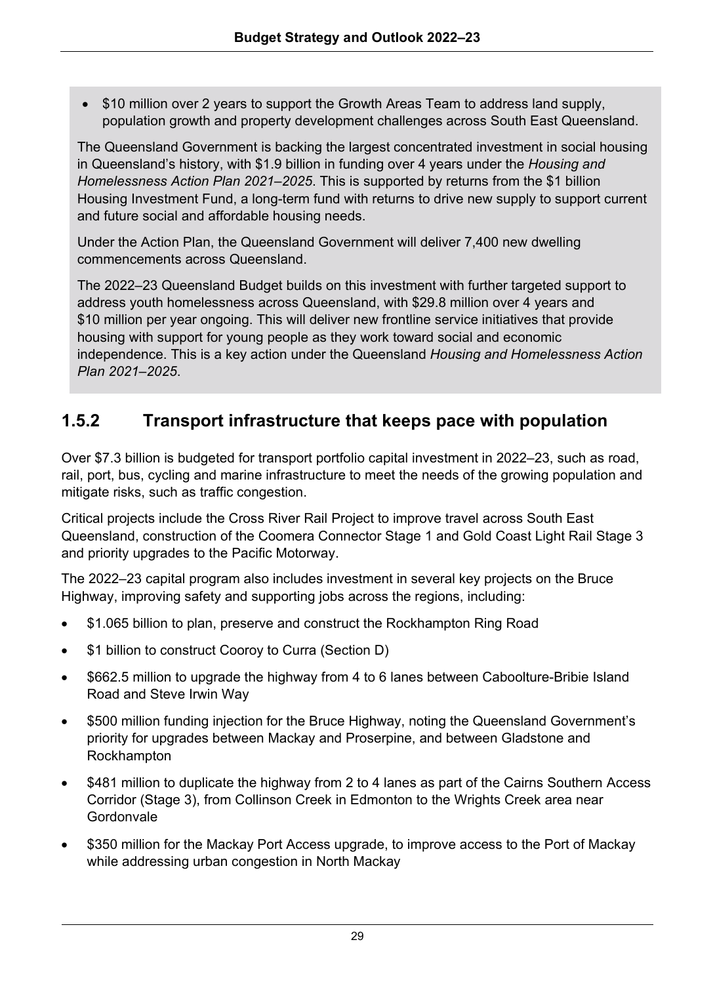• \$10 million over 2 years to support the Growth Areas Team to address land supply, population growth and property development challenges across South East Queensland.

The Queensland Government is backing the largest concentrated investment in social housing in Queensland's history, with \$1.9 billion in funding over 4 years under the *Housing and Homelessness Action Plan 2021–2025*. This is supported by returns from the \$1 billion Housing Investment Fund, a long-term fund with returns to drive new supply to support current and future social and affordable housing needs.

Under the Action Plan, the Queensland Government will deliver 7,400 new dwelling commencements across Queensland.

The 2022–23 Queensland Budget builds on this investment with further targeted support to address youth homelessness across Queensland, with \$29.8 million over 4 years and \$10 million per year ongoing. This will deliver new frontline service initiatives that provide housing with support for young people as they work toward social and economic independence. This is a key action under the Queensland *Housing and Homelessness Action Plan 2021–2025*.

### **1.5.2 Transport infrastructure that keeps pace with population**

Over \$7.3 billion is budgeted for transport portfolio capital investment in 2022–23, such as road, rail, port, bus, cycling and marine infrastructure to meet the needs of the growing population and mitigate risks, such as traffic congestion.

Critical projects include the Cross River Rail Project to improve travel across South East Queensland, construction of the Coomera Connector Stage 1 and Gold Coast Light Rail Stage 3 and priority upgrades to the Pacific Motorway.

The 2022–23 capital program also includes investment in several key projects on the Bruce Highway, improving safety and supporting jobs across the regions, including:

- \$1.065 billion to plan, preserve and construct the Rockhampton Ring Road
- \$1 billion to construct Cooroy to Curra (Section D)
- \$662.5 million to upgrade the highway from 4 to 6 lanes between Caboolture-Bribie Island Road and Steve Irwin Way
- \$500 million funding injection for the Bruce Highway, noting the Queensland Government's priority for upgrades between Mackay and Proserpine, and between Gladstone and Rockhampton
- \$481 million to duplicate the highway from 2 to 4 lanes as part of the Cairns Southern Access Corridor (Stage 3), from Collinson Creek in Edmonton to the Wrights Creek area near Gordonvale
- \$350 million for the Mackay Port Access upgrade, to improve access to the Port of Mackay while addressing urban congestion in North Mackay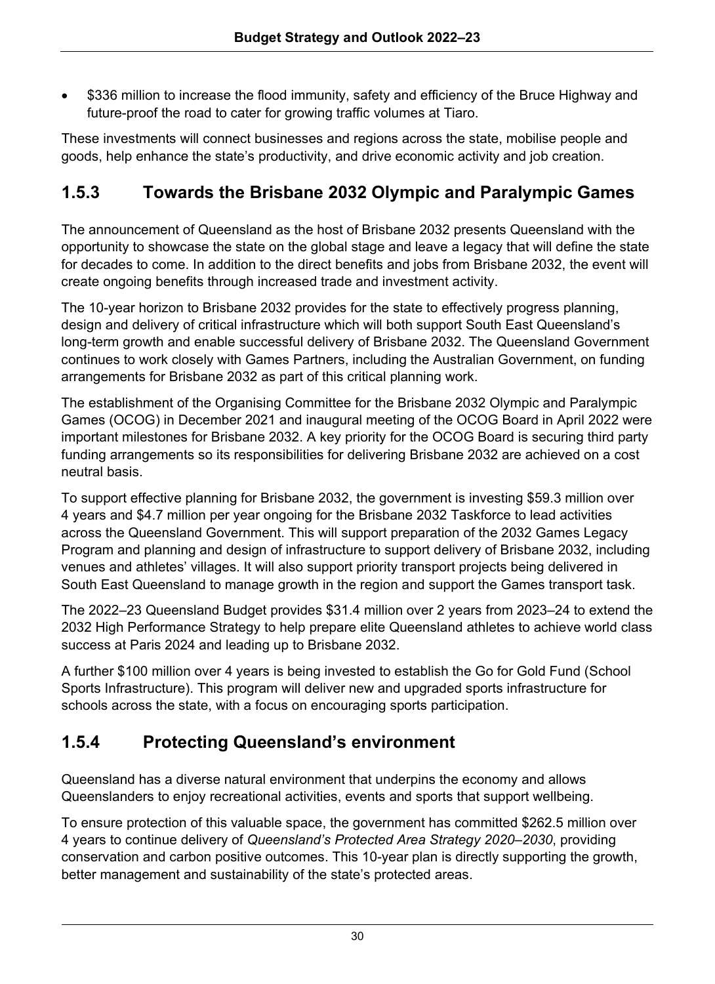• \$336 million to increase the flood immunity, safety and efficiency of the Bruce Highway and future-proof the road to cater for growing traffic volumes at Tiaro.

These investments will connect businesses and regions across the state, mobilise people and goods, help enhance the state's productivity, and drive economic activity and job creation.

## **1.5.3 Towards the Brisbane 2032 Olympic and Paralympic Games**

The announcement of Queensland as the host of Brisbane 2032 presents Queensland with the opportunity to showcase the state on the global stage and leave a legacy that will define the state for decades to come. In addition to the direct benefits and jobs from Brisbane 2032, the event will create ongoing benefits through increased trade and investment activity.

The 10-year horizon to Brisbane 2032 provides for the state to effectively progress planning, design and delivery of critical infrastructure which will both support South East Queensland's long-term growth and enable successful delivery of Brisbane 2032. The Queensland Government continues to work closely with Games Partners, including the Australian Government, on funding arrangements for Brisbane 2032 as part of this critical planning work.

The establishment of the Organising Committee for the Brisbane 2032 Olympic and Paralympic Games (OCOG) in December 2021 and inaugural meeting of the OCOG Board in April 2022 were important milestones for Brisbane 2032. A key priority for the OCOG Board is securing third party funding arrangements so its responsibilities for delivering Brisbane 2032 are achieved on a cost neutral basis.

To support effective planning for Brisbane 2032, the government is investing \$59.3 million over 4 years and \$4.7 million per year ongoing for the Brisbane 2032 Taskforce to lead activities across the Queensland Government. This will support preparation of the 2032 Games Legacy Program and planning and design of infrastructure to support delivery of Brisbane 2032, including venues and athletes' villages. It will also support priority transport projects being delivered in South East Queensland to manage growth in the region and support the Games transport task.

The 2022–23 Queensland Budget provides \$31.4 million over 2 years from 2023–24 to extend the 2032 High Performance Strategy to help prepare elite Queensland athletes to achieve world class success at Paris 2024 and leading up to Brisbane 2032.

A further \$100 million over 4 years is being invested to establish the Go for Gold Fund (School Sports Infrastructure). This program will deliver new and upgraded sports infrastructure for schools across the state, with a focus on encouraging sports participation.

## **1.5.4 Protecting Queensland's environment**

Queensland has a diverse natural environment that underpins the economy and allows Queenslanders to enjoy recreational activities, events and sports that support wellbeing.

To ensure protection of this valuable space, the government has committed \$262.5 million over 4 years to continue delivery of *Queensland's Protected Area Strategy 2020–2030*, providing conservation and carbon positive outcomes. This 10-year plan is directly supporting the growth, better management and sustainability of the state's protected areas.